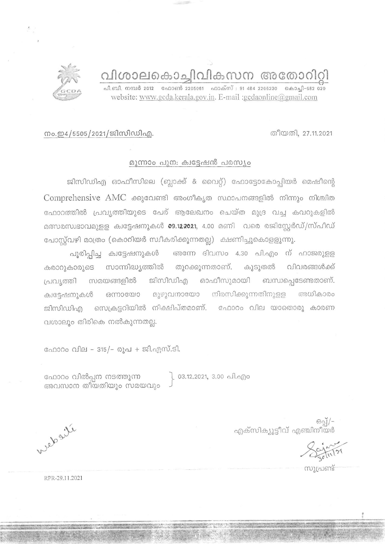വിശാലകൊച്ചിവികസന അതോറി

പി.ബി. നമ്പർ 2012 - ഫോൺ 2205061 - ഫാക്സ് : 91 484 2206230 - കൊച്ചി-682 020 website: www.gcda.kerala.gov.in. E-mail :gcdaonline@gmail.com



## നം.ഇ4/5505/2021/ജിസിഡിഎ.

## മൂന്നാം പുന: ക്വട്ടേഷൻ പരസ്യം

ജിസിഡിഎ ഓഫീസിലെ (ബ്ലാക്ക് & വൈറ്റ്) ഫോട്ടോകോപ്പിയർ മെഷീന്റെ Comprehensive AMC ക്കുവേണ്ടി അംഗീകൃത സ്ഥാപനങ്ങളിൽ നിന്നും നിശ്ചിത ഫോറത്തിൽ പ്രവൃത്തിയുടെ പേര് ആലേഖനം ചെയ്ത മുദ്ര വച്ച കവറുകളിൽ മത്സരസ്വഭാവമുള്ള ക്വട്ടേഷനുകൾ 09.122021, 4.00 മണി വരെ രജിസ്റ്റേർഡ്/സ്പീഡ് പോസ്റ്റ്വഴി മാത്രം (കൊറിയർ സ്വീകരിക്കുന്നതല്ല) ക്ഷണിച്ചുകൊളളുന്നു.

പൂരിപ്പിച്ച ക്വട്ടേഷനുകൾ അന്നേ ദിവസം 4.30 പി.എം ന് ഹാജരുള്ള കരാറുകാരുടെ സാന്നിദ്ധ്യത്തിൽ തുറക്കുന്നതാണ്. കൂടുതൽ വിവരങ്ങൾക്ക് ജിസിഡിഎ ഓഫീസുമായി ബന്ധപ്പെടേണ്ടതാണ്. പ്രവ്യത്തി സമയങ്ങളിൽ മുഴുവനായോ നിരസിക്കുന്നതിനുളള അധികാരം ഒന്നായോ ക്വട്ടേഷനുകൾ ജിസിഡിഎ സെക്രട്ടറിയിൽ നിക്ഷിപ്തമാണ്. ഫോറം വില യാതൊരു കാരണ വശാലും തിരികെ നൽകുന്നതല്ല.

ഫോറം വില - 315/- രൂപ + ജി.എസ്.ടി.

ഫോറം വിൽപ്പന നടത്തുന്ന അവസാന തീയതിയും സമയവും ് 03.12.2021, 3.00 പി.എം

Websur

-/[ഒരു<br>എക്സിക്യൂട്ടീവ് എഞ്ചിനീയർ

സുപ്രണ്ട്

RPR-29.11.2021